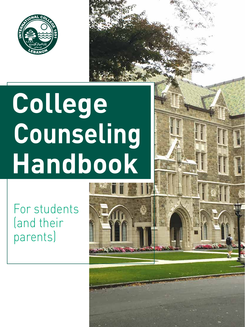

# **College Counseling Handbook**

For students (and their parents)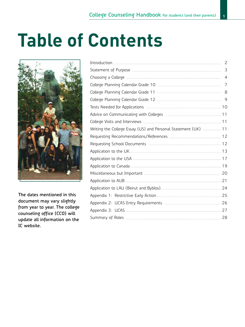## **Table of Contents**



**The dates mentioned in this document may vary slightly from year to year. The college counseling office (CC0) will update all information on the IC website.**

|                                                                         | 2              |
|-------------------------------------------------------------------------|----------------|
|                                                                         | 3              |
|                                                                         | $\overline{4}$ |
|                                                                         | 7              |
|                                                                         |                |
|                                                                         | 9              |
| Tests Needed for Applications <b>Elections</b> 2008 2014 2016 2017 2018 |                |
|                                                                         |                |
|                                                                         |                |
| Writing the College Essay (US) and Personal Statement (UK)  11          |                |
|                                                                         |                |
|                                                                         |                |
|                                                                         |                |
|                                                                         |                |
|                                                                         |                |
|                                                                         |                |
|                                                                         |                |
|                                                                         |                |
|                                                                         |                |
|                                                                         |                |
|                                                                         |                |
|                                                                         |                |
|                                                                         |                |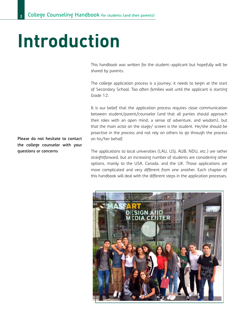## **Introduction**

This handbook was written for the student-applicant but hopefully will be shared by parents.

The college application process is a journey; it needs to begin at the start of Secondary School. Too often families wait until the applicant is starting Grade 12.

It is our belief that the application process requires close communication between student/parent/counselor (and that all parties should approach their roles with an open mind, a sense of adventure, and wisdom), but that the main actor on the stage/ screen is the student. He/she should be proactive in the process and not rely on others to go through the process on his/her behalf.

The applications to local universities (LAU, USJ, AUB, NDU, etc.) are rather straightforward, but an increasing number of students are considering other options, mainly to the USA, Canada, and the UK. Those applications are more complicated and very different from one another. Each chapter of this handbook will deal with the different steps in the application processes.



**Please do not hesitate to contact the college counselor with your questions or concerns**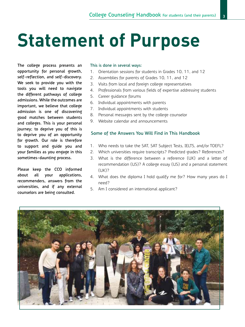## **Statement of Purpose**

**The college process presents an opportunity for personal growth, self-reflection, and self-discovery. We seek to provide you with the tools you will need to navigate the different pathways of college admissions. While the outcomes are important, we believe that college admission is one of discovering good matches between students and colleges. This is your personal journey; to deprive you of this is to deprive you of an opportunity for growth. Our role is therefore to support and guide you and your families as you engage in this sometimes-daunting process.**

**Please keep the CCO informed about all your applications, recommenders, answers from the universities, and if any external counselors are being consulted.**

#### **This is done in several ways:**

- 1. Orientation sessions for students in Grades 10, 11, and 12
- 2. Assemblies for parents of Grades 10, 11, and 12
- 3. Visits from local and foreign college representatives
- 4. Professionals from various fields of expertise addressing students
- 5. Career guidance forums
- 6. Individual appointments with parents
- 7. Individual appointments with students
- 8. Personal messages sent by the college counselor
- 9. Website calendar and announcements

#### **Some of the Answers You Will Find in This Handbook**

- 1. Who needs to take the SAT, SAT Subject Tests, IELTS, and/or TOEFL?
- 2. Which universities require transcripts? Predicted grades? References?
- 3. What is the difference between a reference (UK) and a letter of recommendation (US)? A college essay (US) and a personal statement (UK)?
- 4. What does the diploma I hold qualify me for? How many years do I need?
- 5. Am I considered an international applicant?

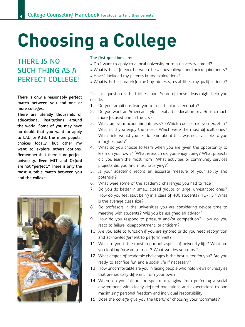# **Choosing a College**

### **THERE IS NO SUCH THING AS A PERFECT COLLEGE!**

**There is only a reasonably perfect match between you and one or more colleges.**

**There are literally thousands of educational institutions around the world. Some of you may have no doubt that you want to apply to LAU or AUB, the more popular choices locally, but other my want to explore others options. Remember that there is no perfect university. Even MIT and Oxford are not "perfect." There is only the most suitable match between you and the college.**



#### **The first questions are:**

- Do I want to apply to a local university or to a university abroad?
- What is the difference between the various colleges and their requirements?
- Have I included my parents in my explorations?
- What is the best match for me (my interests, my abilities, my qualifications)?

This last question is the trickiest one. Some of these ideas might help you decide:

- 1. Do your ambitions lead you to a particular career path?
- 2. Do you want an American style liberal arts education or a British, much more focused one in the UK?
- 3. What are your academic interests? (Which courses did you excel in? Which did you enjoy the most? Which were the most difficult ones? What field would you like lo learn about that was not available to you in high school?)
- 4. What do you choose to learn when you are given the opportunity to learn on your own? (What research did you enjoy doing? What projects did you learn the most from? What activities or community services projects did you find most satisfying?).
- 5. Is your academic record an accurate measure of your ability and potential?
- 6. What were some of the academic challenges you had to face?
- 7. Do you do better in small, closed groups or large, unrestricted ones? How do you feel abut being in a class of 400 students? 10-15? What is the average class size?
- 8. Do professors in the universities you are considering devote time to meeting with students? Will you be assigned an advisor?
- 9. How do you respond to pressure and/or competition? How do you react to failure, disappointment, or criticism?
- 10. Are you able to function if you are ignored or do you need recognition and acknowledgement to perform well?
- 11. What to you is the most important aspect of university life? What are you looking forward to most? What worries you most?
- 12. What degree of academic challenges is the best suited for you? Are you ready to sacrifice fun and a social life if necessary?
- 13. How uncomfortable are you in facing people who hold views or lifestyles that are radically different from your own?
- 14. Where do you fall on the spectrum ranging from preferring a social environment with clearly defined regulations and expectations to one maximizing personal freedom and individual responsibility
- 15. Does the college give you the liberty of choosing your roommate?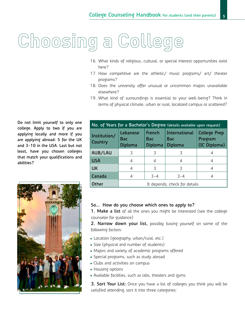# Choosing a College

- 16. What kinds of religious, cultural, or special interest opportunities exist here?
- 17. How competitive are the athletic/ music programs/ art/ theater programs?
- 18. Does the university offer unusual or uncommon majors unavailable elsewhere?
- 19. What kind of surroundings is essential to your well-being? Think in terms of physical climate, urban or rural, localized campus or scattered?

**Do not limit yourself to only one college. Apply to two if you are applying locally and more if you are applying abroad: 5 for the UK and 3-10 in the USA. Last but not least, have you chosen colleges that match your qualifications and abilities?**



| No. of Years for a Bachelor's Degree (details available upon request) |                               |                          |                                 |                                                |
|-----------------------------------------------------------------------|-------------------------------|--------------------------|---------------------------------|------------------------------------------------|
| Institution/<br>Country                                               | Lebanese<br>Bac<br>Diploma    | French<br>Bac<br>Diploma | International<br>Bac<br>Diploma | <b>College Prep</b><br>Program<br>(IC Diploma) |
| AUB/LAU                                                               | 3                             | 3                        | 3                               | 4                                              |
| <b>USA</b>                                                            | 4                             |                          | 4                               | 4                                              |
| <b>UK</b>                                                             | 4                             | 3                        | 3                               | 4                                              |
| Canada                                                                | 4                             | $-3-4$                   | $3 - 4$                         | 4                                              |
| <b>Other</b>                                                          | It depends; check for details |                          |                                 |                                                |

#### **So… How do you choose which ones to apply to?**

**1. Make a list** of all the ones you might be interested (see the college counselor for guidance)

**2. Narrow down your list,** possibly basing yourself on some of the following factors:

- Location (geography, urban/rural, etc.)
- • Size (physical and number of students)
- Majors and variety of academic programs offered
- Special programs, such as study abroad
- Clubs and activities on campus
- Housing options
- Available facilities, such as labs, theaters and gyms

**3. Sort Your List:** Once you have a list of colleges you think you will be satisfied attending, sort it into three categories: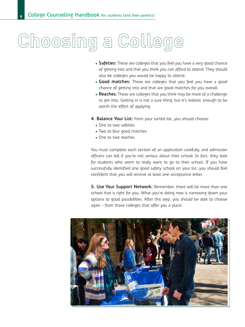## Choosing a College

- Safeties: These are colleges that you feel you have a very good chance of getting into and that you think you can afford to attend. They should also be colleges you would be happy to attend.
- **Good matches:** These are colleges that you feel you have a good chance of getting into and that are good matches for you overall.
- **Reaches:** These are colleges that you think may be more of a challenge to get into. Getting in is not a sure thing, but it's realistic enough to be worth the effort of applying.
- **4. Balance Your List:** From your sorted list, you should choose:
	- One to two safeties
	- Two to four good matches
	- One to two reaches

You must complete each section of an application carefully, and admission officers can tell if you're not serious about their school. In fact, they look for students who seem to really want to go to their school. If you have successfully identified one good safety school on your list, you should feel confident that you will receive at least one acceptance letter.

**5. Use Your Support Network:** Remember, there will be more than one school that is right for you. What you're doing now is narrowing down your options to good possibilities. After this step, you should be able to choose again – from those colleges that offer you a place.

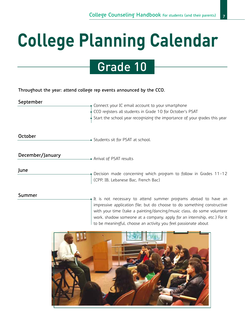# **College Planning Calendar**

### Grade 10

**Throughout the year: attend college rep events announced by the CCO.**

**September**

Connect your IC email account to your smartphone CCO registers all students in Grade 10 for October's PSAT Start the school year recognizing the importance of your grades this year

**October**

• Students sit for PSAT at school.

**December/January**

• Arrival of PSAT results

**June**

Decision made concerning which program to follow in Grades 11-12 (CPP, IB, Lebanese Bac, French Bac)

#### **Summer**

It is not necessary to attend summer programs abroad to have an impressive application file; but do choose to do something constructive with your time (take a painting/dancing/music class, do some volunteer work, shadow someone at a company, apply for an internship, etc.) For it to be meaningful, choose an activity you feel passionate about

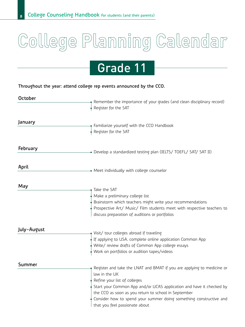# College Planning Calendar

### Grade 11

**Throughout the year: attend college rep events announced by the CCO.**

| October     | Remember the importance of your grades (and clean disciplinary record)<br>Register for the SAT                                                                                                                                                                                                                                                                  |
|-------------|-----------------------------------------------------------------------------------------------------------------------------------------------------------------------------------------------------------------------------------------------------------------------------------------------------------------------------------------------------------------|
| January     | Familiarize yourself with the CCO Handbook<br>Register for the SAT                                                                                                                                                                                                                                                                                              |
| February    | • Develop a standardized testing plan (IELTS/ TOEFL/ SAT/ SAT II)                                                                                                                                                                                                                                                                                               |
| April       | • Meet individually with college counselor                                                                                                                                                                                                                                                                                                                      |
| May         | Take the SAT<br>Make a preliminary college list<br>Brainstorm which teachers might write your recommendations<br>Prospective Art/ Music/ Film students meet with respective teachers to<br>discuss preparation of auditions or portfolios                                                                                                                       |
| July-August | Visit/ tour colleges abroad if traveling<br>If applying to USA, complete online application Common App<br>Write/ review drafts of Common App college essays<br>Work on portfolios or audition tapes/videos                                                                                                                                                      |
| Summer      | Register and take the LNAT and BMAT if you are applying to medicine or<br>law in the UK<br>Refine your list of colleges<br>Start your Common App and/or UCAS application and have it checked by<br>the CCO as soon as you return to school in September<br>Consider how to spend your summer doing something constructive and<br>that you feel passionate about |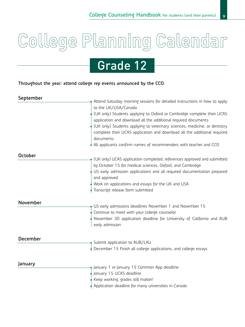# College Planning Calendar

### Grade 12

**Throughout the year: attend college rep events announced by the CCO.**

**September**

| Attend Saturday morning sessions for detailed instructions in how to apply |
|----------------------------------------------------------------------------|
|                                                                            |
| (UK only) Students applying to Oxford or Cambridge complete their UCAS     |
|                                                                            |
| (UK only) Students applying to veterinary sciences, medicine, or dentistry |
| complete their UCAS application and download all the additional required   |
|                                                                            |
| All applicants confirm names of recommenders with teacher and CCO          |
|                                                                            |
| (UK only) UCAS application completed, references approved and submitted    |
|                                                                            |
| US early admission applications and all required documentation prepared    |
|                                                                            |
|                                                                            |
|                                                                            |
|                                                                            |
|                                                                            |
|                                                                            |
| November 30 application deadline for University of California and AUB      |
|                                                                            |
|                                                                            |
|                                                                            |
|                                                                            |
|                                                                            |
|                                                                            |
|                                                                            |
|                                                                            |
|                                                                            |
|                                                                            |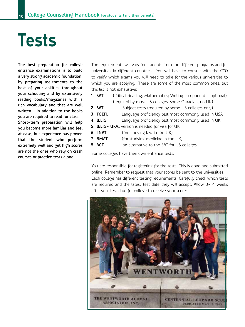## **Tests**

**The best preparation for college entrance examinations is to build a very strong academic foundation, by preparing assignments to the best of your abilities throughout your schooling and by extensively reading books/magazines with a rich vocabulary and that are well written – in addition to the books you are required to read for class. Short-term preparation will help you become more familiar and feel at ease, but experience has proven that the student who perform extremely well and get high scores are not the ones who rely on crash courses or practice tests alone.**

The requirements will vary for students from the different programs and for universities in different countries. You will have to consult with the CCO to verify which exams you will need to take for the various universities to which you are applying. These are some of the most common ones, but this list is not exhaustive:

- **1. SAT** (Critical Reading, Mathematics; Writing component is optional) (required by most US colleges, some Canadian, no UK)
- **2. SAT** Subject tests (required by some US colleges only)
- **3. TOEFL** Language proficiency test most commonly used in USA
- **4. IELTS** Language proficiency test most commonly used in UK
- **5. IELTS- UKVI** version is needed for visa for UK
- **6. LNAT** (for studying law in the UK)
- **7. BMAT** (for studying medicine in the UK)
- **8. ACT** an alternative to the SAT for US colleges

Some colleges have their own entrance tests.

You are responsible for registering for the tests. This is done and submitted online. Remember to request that your scores be sent to the universities. Each college has different testing requirements. Carefully check which tests are required and the latest test date they will accept. Allow 3- 4 weeks after your test date for college to receive your scores.

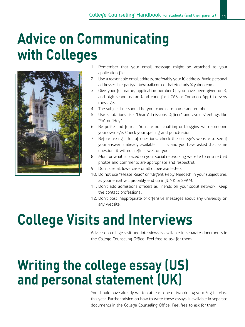### **Advice on Communicating with Colleges**



- 1. Remember that your email message might be attached to your application file.
- 2. Use a reasonable email address, preferably your IC address. Avoid personal addresses like partygirl@gmail.com or hatetostudy@yahoo.com.
- 3. Give your full name, application number (if you have been given one), and high school name (and code for UCAS or Common App) in every message.
- 4. The subject line should be your candidate name and number.
- 5. Use salutations like "Dear Admissions Officer" and avoid greetings like "Yo" or "Hey".
- 6. Be polite and formal. You are not chatting or blogging with someone your own age. Check your spelling and punctuation.
- 7. Before asking a lot of questions, check the college's website to see if your answer is already available. If it is and you have asked that same question, it will not reflect well on you.
- 8. Monitor what is placed on your social networking website to ensure that photos and comments are appropriate and respectful.
- 9. Don't use all lowercase or all uppercase letters.
- 10. Do not use "Please Read" or "Urgent Reply Needed" in your subject line, as your email will probably end up in JUNK or SPAM.
- 11. Don't add admissions officers as Friends on your social network. Keep the contact professional.
- 12. Don't post inappropriate or offensive messages about any university on any website.

### **College Visits and Interviews**

Advice on college visit and interviews is available in separate documents in the College Counseling Office. Feel free to ask for them.

### **Writing the college essay (US) and personal statement (UK)**

You should have already written at least one or two during your English class this year. Further advice on how to write these essays is available in separate documents in the College Counseling Office. Feel free to ask for them.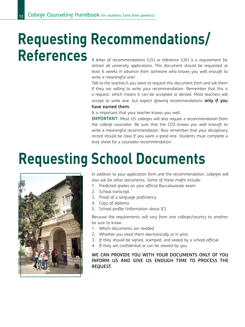### **Requesting Recommendations/** Reference (UK) is a requirement for

almost all university applications. This document should be requested at least 6 weeks in advance from someone who knows you well enough to write a meaningful one!

Talk to the teacher/s you want to request this document from and ask them if they are willing to write your recommendation. Remember that this is a request, which means it can be accepted or denied. Most teachers will accept to write one, but expect glowing recommendations **only if you have earned them.** 

It is important that your teacher knows you well.

**IMPORTANT:** Most US colleges will also require a recommendation from the college counselor. Be sure that the CCO knows you well enough to write a meaningful recommendation. Also remember that your disciplinary record should be clear if you want a good one. Students must complete a brag sheet for a counselor recommendation.

## **Requesting School Documents**



In addition to your application form and the recommendation, colleges will also ask for other documents. Some of these might include:

- 1. Predicted grades on your official Baccalaureate exam
- 2. School transcript
- 3. Proof of a language proficiency
- 4. Copy of diploma
- 5. School profile (information about IC)

Because the requirements will vary from one college/country to another, be sure to know:

- 1. Which documents are needed
- 2. Whether you need them electronically or in print
- 3. If they should be signed, stamped, and sealed by a school official
- 4. If they are confidential or can be viewed by you.

**WE CAN PROVIDE YOU WITH YOUR DOCUMENTS ONLY OF YOU INFORM US AND GIVE US ENOUGH TIME TO PROCESS THE REQUEST.**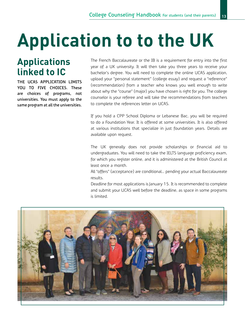# **Application to to the UK**

### **Applications linked to IC**

**THE UCAS APPLICATION LIMITS YOU TO FIVE CHOICES. These are choices of programs, not universities. You must apply to the same program at all the universities.** The French Baccalaureate or the IB is a requirement for entry into the first year of a UK university. It will then take you three years to receive your bachelor's degree. You will need to complete the online UCAS application, upload your "personal statement" (college essay) and request a "reference" (recommendation) from a teacher who knows you well enough to write about why the "course" (major) you have chosen is right for you. The college counselor is your referee and will take the recommendations from teachers to complete the references letter on UCAS.

If you hold a CPP School Diploma or Lebanese Bac, you will be required to do a Foundation Year. It is offered at some universities. It is also offered at various institutions that specialize in just foundation years. Details are available upon request.

The UK generally does not provide scholarships or financial aid to undergraduates. You will need to take the IELTS language proficiency exam, for which you register online, and it is administered at the British Council at least once a month.

All "offers" (acceptance) are conditional… pending your actual Baccalaureate results.

Deadline for most applications is January 15. It is recommended to complete and submit your UCAS well before the deadline, as space in some programs is limited.

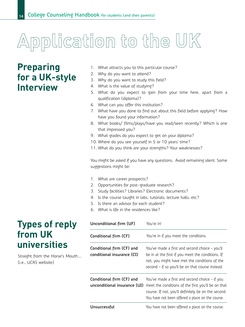# Application to the UK

### **Preparing for a UK-style Interview**

- 1. What attracts you to this particular course?
- 2. Why do you want to attend?
- 3. Why do you want to study this field?
- 4. What is the value of studying?
- 5. What do you expect to gain from your time here, apart from a qualification (diploma)?
- 6. What can you offer this institution?
- 7. What have you done to find out about this field before applying? How have you found your information?
- 8. What books/ films/plays/have you read/seen recently? Which is one that impressed you?
- 9. What grades do you expect to get on your diploma?
- 10. Where do you see yourself in 5 or 10 years' time?
- 11. What do you think are your strengths? Your weaknesses?

You might be asked if you have any questions. Avoid remaining silent. Some suggestions might be:

- 1. What are career prospects?
- 2. Opportunities for post-graduate research?
- 3. Study facilities? Libraries? Electronic documents?
- 4. Is the course taught in labs, tutorials, lecture halls, etc?
- 5. Is there an advisor for each student?
- 6. What is life in the residences like?

| <b>Types of reply</b> |
|-----------------------|
| from UK               |
| universities          |

Straight from the Horse's Mouth…. (i.e., UCAS website)

| Unconditional firm (UF)                                   | You're in!                                                                                                                                                                                                      |
|-----------------------------------------------------------|-----------------------------------------------------------------------------------------------------------------------------------------------------------------------------------------------------------------|
| Conditional firm (CF)                                     | You're in if you meet the conditions.                                                                                                                                                                           |
| Conditional firm (CF) and<br>conditional insurance (CI)   | You've made a first and second choice – you'll<br>be in at the first if you meet the conditions. If<br>not, you might have met the conditions of the<br>second – if so you'll be on that course instead.        |
| Conditional firm (CF) and<br>unconditional insurance (UI) | You've made a first and second choice - if you<br>meet the conditions of the first you'll be on that<br>course. If not, you'll definitely be on the second.<br>You have not been offered a place on the course. |
| Unsuccessful                                              | You have not been offered a place on the course.                                                                                                                                                                |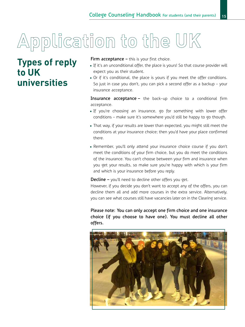# Application to the UK

### **Types of reply to UK universities**

**Firm acceptance –** this is your first choice.

- If it's an unconditional offer, the place is yours! So that course provider will expect you as their student.
- Or if it's conditional, the place is yours if you meet the offer conditions. So just in case you don't, you can pick a second offer as a backup – your insurance acceptance.

**Insurance acceptance –** the back-up choice to a conditional firm acceptance.

- If you're choosing an insurance, go for something with lower offer conditions – make sure it's somewhere you'd still be happy to go though.
- That way, if your results are lower than expected, you might still meet the conditions at your insurance choice; then you'd have your place confirmed there.
- Remember, you'll only attend your insurance choice course if you don't meet the conditions of your firm choice, but you do meet the conditions of the insurance. You can't choose between your firm and insurance when you get your results, so make sure you're happy with which is your firm and which is your insurance before you reply.

**Decline –** you'll need to decline other offers you get.

However, if you decide you don't want to accept any of the offers, you can decline them all and add more courses in the extra service. Alternatively, you can see what courses still have vacancies later on in the Clearing service.

**Please note: You can only accept one firm choice and one insurance choice (if you choose to have one). You must decline all other offers.**

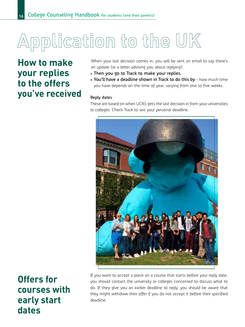# Application to the UK

**How to make your replies to the offers you've received**

When your last decision comes in, you will be sent an email to say there's an update (or a letter advising you about replying).

- • **Then you go to Track to make your replies.**
- • **You'll have a deadline shown in Track to do this by** how much time you have depends on the time of year, varying from one to five weeks.

#### **Reply dates**

These are based on when UCAS gets the last decision in from your universities or colleges. Check Track to see your personal deadline.



**Offers for courses with early start dates**

If you want to accept a place on a course that starts before your reply date, you should contact the university or colleges concerned to discuss what to do. If they give you an earlier deadline to reply, you should be aware that they might withdraw their offer if you do not accept it before their specified deadline.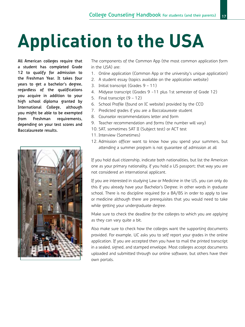## **Application to the USA**

**All American colleges require that a student has completed Grade 12 to qualify for admission to the Freshman Year. It takes four years to get a bachelor's degree, regardless of the qualifications you acquire in addition to your high school diploma granted by International College, although you might be able to be exempted from Freshman requirements, depending on your test scores and Baccalaureate results.**



The components of the Common App (the most common application form in the USA) are:

- 1. Online application (Common App or the university's unique application)
- 2. A student essay (topics available on the application website)
- 3. Initial transcript (Grades 9 11)
- 4. Midyear transcript (Grades 9 -11 plus 1st semester of Grade 12)
- 5. Final transcript (9 12)
- 6. School Profile (found on IC website) provided by the CCO
- 7. Predicted grades if you are a Baccalaureate student
- 8. Counselor recommendations letter and form
- 9. Teacher recommendation and forms (the number will vary)
- 10. SAT, sometimes SAT II (Subject test) or ACT test
- 11. Interview (Sometimes)
- 12. Admission officer want to know how you spend your summers, but attending a summer program is not guarantee of admission at all

If you hold dual citizenship, indicate both nationalities, but list the American one as your primary nationality, if you hold a US passport; that way you are not considered an international applicant.

If you are interested in studying Law or Medicine in the US, you can only do this if you already have your Bachelor's Degree; in other words in graduate school. There is no discipline required for a BA/BS in order to apply to law or medicine although there are prerequisites that you would need to take while getting your undergraduate degree.

Make sure to check the deadline for the colleges to which you are applying as they can vary quite a bit.

Also make sure to check how the colleges want the supporting documents provided. For example, UC asks you to self report your grades in the online application. If you are accepted then you have to mail the printed transcript in a sealed, signed, and stamped envelope. Most colleges accept documents uploaded and submitted through our online software, but others have their own portals.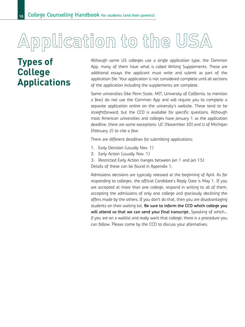# Application to the USA

### **Types of College Applications**

Although some US colleges use a single application type, the Common App, many of them have what is called Writing Supplements. These are additional essays the applicant must write and submit as part of the application file. Your application is not considered complete until all sections of the application including the supplements are complete.

Some universities (like Penn State, MIT, University of California, to mention a few) do not use the Common App and will require you to complete a separate application online on the university's website. These tend to be straightforward, but the CCO is available for specific questions. Although most American universities and colleges have January 1 as the application deadline, there are some exceptions: UC (November 30) and U of Michigan (February 2) to cite a few.

There are different deadlines for submitting applications:

- 1. Early Decision (usually Nov. 1)
- 2. Early Action (usually Nov. 1)
- 3. Restricted Early Action (ranges between Jan 1 and Jan 15)

Details of these can be found in Appendix 1.

Admissions decisions are typically released at the beginning of April. As for responding to colleges, the official Candidate's Reply Date is May 1. If you are accepted at more than one college, respond in writing to all of them, accepting the admissions of only one college and graciously declining the offers made by the others. If you don't do that, then you are disadvantaging students on their waiting list. **Be sure to inform the CCO which college you will attend so that we can send your final transcript.** Speaking of which… if you are on a waitlist and really want that college, there is a procedure you can follow. Please come by the CCO to discuss your alternatives.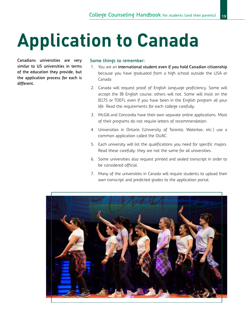# **Application to Canada**

**Canadians universities are very similar to US universities in terms of the education they provide, but the application process for each is different.**

#### **Some things to remember:**

- 1. You are an **international student even if you hold Canadian citizenship** because you have graduated from a high school outside the USA or Canada
- 2. Canada will request proof of English language proficiency. Some will accept the IB English course; others will not. Some will insist on the IELTS or TOEFL even if you have been in the English program all your life. Read the requirements for each college carefully.
- 3. McGill and Concordia have their own separate online applications. Most of their programs do not require letters of recommendation.
- 4. Universities in Ontario (University of Toronto, Waterloo, etc.) use a common application called the OUAC.
- 5. Each university will list the qualifications you need for specific majors. Read these carefully; they are not the same for all universities.
- 6. Some universities also request printed and sealed transcript in order to be considered official.
- 7. Many of the universities in Canada will require students to upload their own transcript and predicted grades to the application portal.

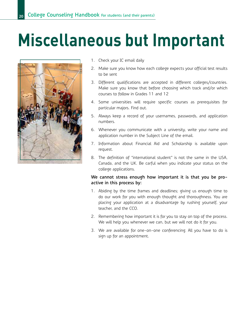## **Miscellaneous but Important**



- 1. Check your IC email daily
- 2. Make sure you know how each college expects your official test results to be sent
- 3. Different qualifications are accepted in different colleges/countries. Make sure you know that before choosing which track and/or which courses to follow in Grades 11 and 12
- 4. Some universities will require specific courses as prerequisites for particular majors. Find out.
- 5. Always keep a record of your usernames, passwords, and application numbers.
- 6. Whenever you communicate with a university, write your name and application number in the Subject Line of the email.
- 7. Information about Financial Aid and Scholarship is available upon request.
- 8. The definition of "international student" is not the same in the USA, Canada, and the UK. Be carful when you indicate your status on the college applications.

#### **We cannot stress enough how important it is that you be proactive in this process by:**

- 1. Abiding by the time frames and deadlines; giving us enough time to do our work for you with enough thought and thoroughness. You are placing your application at a disadvantage by rushing yourself, your teacher, and the CCO.
- 2. Remembering how important it is for you to stay on top of the process. We will help you whenever we can, but we will not do it for you.
- 3. We are available for one-on-one conferencing. All you have to do is sign up for an appointment.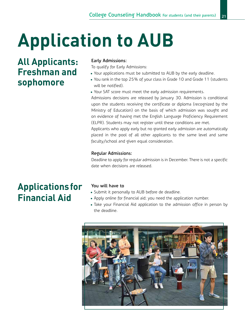## **Application to AUB**

### **All Applicants: Freshman and sophomore**

#### **Early Admissions:**

To qualify for Early Admissions:

- Your applications must be submitted to AUB by the early deadline.
- You rank in the top 25% of your class in Grade 10 and Grade 11 (students will be notified).
- Your SAT score must meet the early admission requirements.

Admissions decisions are released by January 30. Admission is conditional upon the students receiving the certificate or diploma (recognized by the Ministry of Education) on the basis of which admission was sought and on evidence of having met the English Language Proficiency Requirement (ELPR). Students may not register until these conditions are met.

Applicants who apply early but no granted early admission are automatically placed in the pool of all other applicants to the same level and same faculty/school and given equal consideration.

#### **Regular Admissions:**

Deadline to apply for regular admission is in December. There is not a specific date when decisions are released.

### **Applications for Financial Aid**

#### **You will have to**

- Submit it personally to AUB before de deadline.
- Apply online for financial aid; you need the application number.
- Take your Financial Aid application to the admission office in person by the deadline.

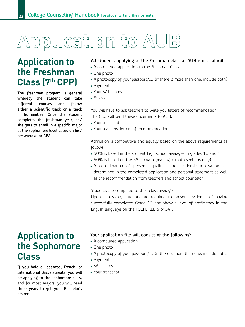## Application to AUB

### **Application to the Freshman Class (7th CPP)**

**The freshman program is general whereby the student can take different courses and follow either a scientific track or a track in humanities. Once the student completes the freshman year, he/ she gets to enroll in a specific major at the sophomore level based on his/ her average or GPA.**

#### **All students applying to the Freshman class at AUB must submit**

- A completed application to the Freshman Class
- • One photo
- A photocopy of your passport/ID (if there is more than one, include both)
- • Payment
- Your SAT scores
- • Essays

You will have to ask teachers to write you letters of recommendation. The CCO will send these documents to AUB:

- Your transcript
- Your teachers' letters of recommendation

Admission is competitive and equally based on the above requirements as follows:

- 50% is based in the student high school averages in grades 10 and 11
- 50% is based on the SAT I exam (reading + math sections only)
- A consideration of personal qualities and academic motivation, as determined in the completed application and personal statement as well as the recommendation from teachers and school counselor.

Students are compared to their class average.

Upon admission, students are required to present evidence of having successfully completed Grade 12 and show a level of proficiency in the English language on the TOEFL, IELTS or SAT.

### **Application to the Sophomore Class**

**If you hold a Lebanese, French, or International Baccalaureate, you will be applying to the sophomore class, and for most majors, you will need three years to get your Bachelor's degree.**

#### **Your application file will consist of the following:**

- A completed application
- • One photo
- A photocopy of your passport/ID (if there is more than one, include both)
- • Payment
- SAT scores
- Your transcript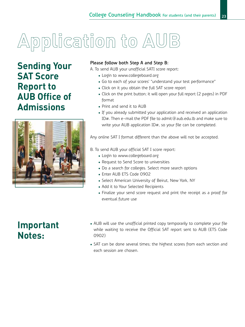# Application to AUB

**Sending Your SAT Score Report to AUB Office of Admissions**



#### **Please follow both Step A and Step B:**

A. To send AUB your unofficial SATI score report:

- Login to www.collegeboard.org
- Go to each of your scores' "understand your test performance"
- Click on it you obtain the full SAT score report
- Click on the print button; it will open your full report (2 pages) in PDF format
- Print and send it to AUB
- If you already submitted your application and received an application ID#. Then e-mail the PDF file to admit@aub.edu.lb and make sure to write your AUB application ID#, so your file can be completed.

Any online SAT I format different than the above will not be accepted.

- B. To send AUB your official SAT I score report:
	- Login to www.collegeboard.org
	- Request to Send Score to universities
	- Do a search for colleges. Select more search options
	- Enter AUB ETS Code 0902
	- Select American University of Beirut, New York, NY
	- Add it to Your Selected Recipients
	- Finalize your send score request and print the receipt as a proof for eventual future use

### **Important Notes:**

- AUB will use the unofficial printed copy temporarily to complete your file while waiting to receive the Official SAT report sent to AUB (ETS Code 0902)
- SAT can be done several times; the highest scores from each section and each session are chosen.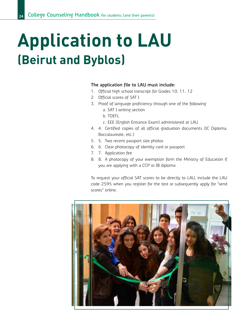## **Application to LAU (Beirut and Byblos)**

#### **The application file to LAU must include:**

- 1. Official high school transcript for Grades 10, 11, 12
- 2. Official scores of SAT I
- 3. Proof of language proficiency through one of the following
	- a. SAT I writing section
	- b. TOEFL
	- c. EEE (English Entrance Exam) administered at LAU
- 4. 4. Certified copies of all official graduation documents (IC Diploma, Baccalaureate, etc.)
- 5. 5. Two recent passport size photos
- 6. 6. Clear photocopy of identity card or passport
- 7. 7. Application fee
- 8. 8. A photocopy of your exemption form the Ministry of Education if you are applying with a CCP or IB diploma

To request your official SAT scores to be directly to LAU, include the LAU code 2595 when you register for the test or subsequently apply for "send scores" online.

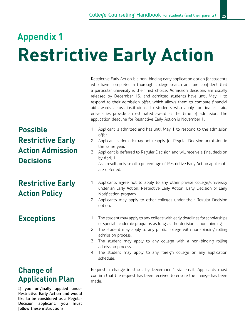## **Restrictive Early Action Appendix 1**

**Possible Restrictive Early Action Admission Decisions**

### **Restrictive Early Action Policy**

### **Exceptions**

### **Change of Application Plan**

**If you originally applied under Restrictive Early Action and would like to be considered as a Regular Decision applicant, you must follow these instructions:**

Restrictive Early Action is a non-binding early application option for students who have completed a thorough college search and are confident that a particular university is their first choice. Admission decisions are usually released by December 15, and admitted students have until May 1 to respond to their admission offer, which allows them to compare financial aid awards across institutions. To students who apply for financial aid, universities provide an estimated award at the time of admission. The application deadline for Restrictive Early Action is November 1.

- 1. Applicant is admitted and has until May 1 to respond to the admission offer.
- 2. Applicant is denied; may not reapply for Regular Decision admission in the same year.
- 3. Applicant is deferred to Regular Decision and will receive a final decision by April 1.

As a result, only small a percentage of Restrictive Early Action applicants are deferred.

- 1. Applicants agree not to apply to any other private college/university under an Early Action, Restrictive Early Action, Early Decision or Early Notification program.
- 2. Applicants may apply to other colleges under their Regular Decision option.
- 1. The student may apply to any college with early deadlines for scholarships or special academic programs as long as the decision is non-binding.
- 2. The student may apply to any public college with non-binding rolling admission process.
- 3. The student may apply to any college with a non-binding rolling admission process.
- 4. The student may apply to any foreign college on any application schedule.

Request a change in status by December 1 via email. Applicants must confirm that the request has been received to ensure the change has been made.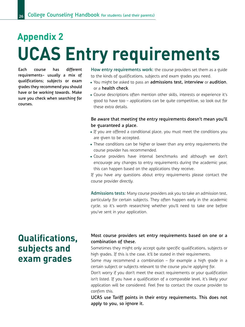### **UCAS Entry requirements Appendix 2**

**Each course has different requirements- usually a mix of qualifications; subjects or exam grades they recommend you should have or be working towards. Make sure you check when searching for courses.**

**How entry requirements work:** the course providers set them as a guide to the kinds of qualifications, subjects and exam grades you need.

- • You might be asked to pass an **admissions test, interview** or **audition**, or a **health check**.
- • Course descriptions often mention other skills, interests or experience it's good to have too – applications can be quite competitive, so look out for these extra details.

#### **Be aware that meeting the entry requirements doesn't mean you'll be guaranteed a place.**

- If you are offered a conditional place, you must meet the conditions you are given to be accepted.
- These conditions can be higher or lower than any entry requirements the course provider has recommended.
- • Course providers have internal benchmarks and although we don't encourage any changes to entry requirements during the academic year, this can happen based on the applications they receive.

If you have any questions about entry requirements please contact the course provider directly.

**Admissions tests:** Many course providers ask you to take an admission test, particularly for certain subjects. They often happen early in the academic cycle, so it's worth researching whether you'll need to take one before you've sent in your application.

### **Qualifications, subjects and exam grades**

#### **Most course providers set entry requirements based on one or a combination of these.**

Sometimes they might only accept quite specific qualifications, subjects or high grades. If this is the case, it'll be stated in their requirements.

Some may recommend a combination – for example a high grade in a certain subject or subjects relevant to the course you're applying for.

Don't worry if you don't meet the exact requirements or your qualification isn't listed. If you have a qualification of a comparable level, it's likely your application will be considered. Feel free to contact the course provider to confirm this.

**UCAS use Tariff points in their entry requirements. This does not apply to you, so ignore it.**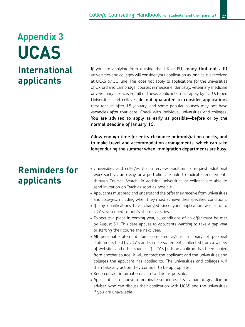### **UCAS International applicants Appendix 3**

### **Reminders for applicants**

If you are applying from outside the UK or EU, **many (but not all!)** universities and colleges will consider your application as long as it is received at UCAS by 30 June. This does not apply to applications for the universities of Oxford and Cambridge, courses in medicine, dentistry, veterinary medicine or veterinary science. For all of these, applicants must apply by 15 October. Universities and colleges **do not guarantee to consider applications** they receive after 15 January, and some popular courses may not have vacancies after that date. Check with individual universities and colleges. **You are advised to apply as early as possible—before or by the normal deadline of January 15**.

**Allow enough time for entry clearance or immigration checks, and to make travel and accommodation arrangements, which can take longer during the summer when immigration departments are busy.**

- Universities and colleges that interview, audition, or request additional work such as an essay or a portfolio, are able to indicate requirements through Courses Search. In addition universities or colleges are able to send invitation on Track as soon as possible.
- Applicants must read and understand the offer they receive from universities and colleges, including when they must achieve their specified conditions.
- If any qualifications have changed since your application was sent to UCAS, you need to notify the universities.
- To secure a place in coming year, all conditions of an offer must be met by August 31. This date applies to applicants wanting to take a gap year or starting their course the next year.
- All personal statements are compared against a library of personal statements held by UCAS and sample statements collected from a variety of websites and other sources. If UCAS finds an applicant has been copied from another source, it will contact the applicant and the universities and colleges the applicant has applied to. The universities and colleges will then take any action they consider to be appropriate.
- Keep contact information as up to date as possible.
- Applicants can choose to nominate someone, e. g. a parent, guardian or adviser, who can discuss their application with UCAS and the universities if you are unavailable.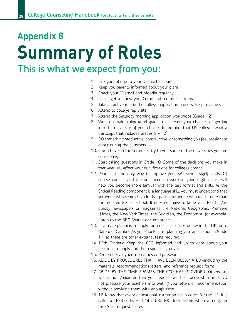### **Summary of Roles This is what we expect from you: Appendix 8**

- 1. Link your phone to your IC email account.
- 2. Keep you parents informed about your plans.
- 3. Check your IC email and Moodle regularly
- 4. Let us get to know you. Come and see us. Talk to us.
- 5. Take an active role in the college application process. Be pro-active.
- 6. Attend to college rep visits.
- 7. Attend the Saturday morning application workshops (Grade 12).
- 8. Work on maintaining good grades to increase your chances of getting into the university of your choice (Remember that US colleges want a transcript that includes Grades 9 – 12).
- 9. DO something productive, constructive, or something you feel passionate about during the summers.
- 10. If you travel in the summers, try to visit some of the universities you are considering.
- 11. Start asking questions in Grade 10. Some of the decisions you make in that year will affect your qualifications for colleges abroad.
- 12. Read. It is the only way to improve your SAT scores significantly. Of course courses and the one period a week in your English class will help you become more familiar with the test format and skills. As the Critical Reading component is a language skill, you must understand that someone who scores high in that part is someone who reads more than the required text at school. It does not have to be novels. Read highquality newspapers or magazines like National Geographic, Premiere (films), the New York Times, the Guardian, the Economist, for example. Listen to the BBC. Watch documentaries.
- 13. If you are planning to apply for medical sciences or law in the UK, or to Oxford or Cambridge, you should start planning your application in Grade 11, as there are other external tests required.
- 14. 12th Graders: Keep the CCO informed and up to date about your decisions to apply and the responses you get.
- 15. Remember all your usernames and passwords.
- 16. ABIDE BY PROCEDURES THAT HAVE BEEN DESIGNATED –including the materials, recommendations letters, and reference request forms.
- 17. ABIDE BY THE TIME FRAMES THE CCO HAS PROVIDED. Otherwise, we cannot guarantee that your request will be processed in time. DO not pressure your teachers into writing you letters of recommendation without providing them with enough time.
- 18. 18.Know that every educational institution has a code. For the US, it is called a CEEB code. For IC it is 685300. Include this when you register for SAT or request scores.